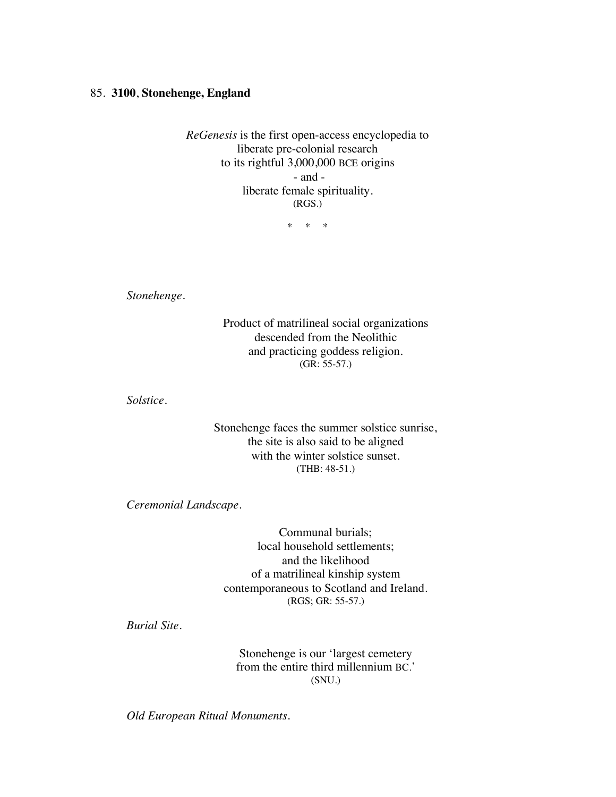## 85. **3100**, **Stonehenge, England**

*ReGenesis* is the first open-access encyclopedia to liberate pre-colonial research to its rightful 3,000,000 BCE origins - and liberate female spirituality. (RGS.)

\* \* \*

*Stonehenge*.

Product of matrilineal social organizations descended from the Neolithic and practicing goddess religion. (GR: 55-57.)

*Solstice.*

Stonehenge faces the summer solstice sunrise, the site is also said to be aligned with the winter solstice sunset. (THB: 48-51.)

*Ceremonial Landscape.*

Communal burials; local household settlements; and the likelihood of a matrilineal kinship system contemporaneous to Scotland and Ireland. (RGS; GR: 55-57.)

*Burial Site.*

Stonehenge is our 'largest cemetery from the entire third millennium BC.' (SNU.)

*Old European Ritual Monuments.*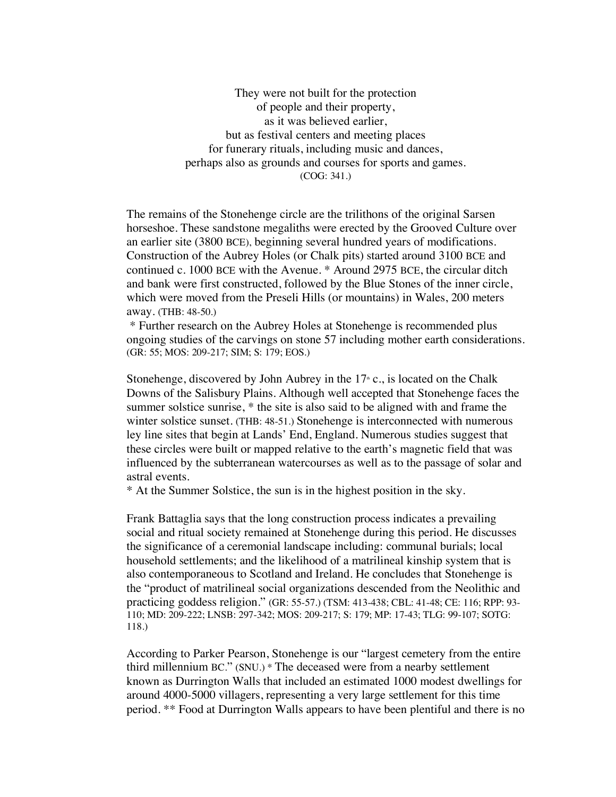They were not built for the protection of people and their property, as it was believed earlier, but as festival centers and meeting places for funerary rituals, including music and dances, perhaps also as grounds and courses for sports and games. (COG: 341.)

The remains of the Stonehenge circle are the trilithons of the original Sarsen horseshoe. These sandstone megaliths were erected by the Grooved Culture over an earlier site (3800 BCE), beginning several hundred years of modifications. Construction of the Aubrey Holes (or Chalk pits) started around 3100 BCE and continued c. 1000 BCE with the Avenue. \* Around 2975 BCE, the circular ditch and bank were first constructed, followed by the Blue Stones of the inner circle, which were moved from the Preseli Hills (or mountains) in Wales, 200 meters away. (THB: 48-50.)

\* Further research on the Aubrey Holes at Stonehenge is recommended plus ongoing studies of the carvings on stone 57 including mother earth considerations. (GR: 55; MOS: 209-217; SIM; S: 179; EOS.)

Stonehenge, discovered by John Aubrey in the  $17<sup>*</sup>$  c., is located on the Chalk Downs of the Salisbury Plains. Although well accepted that Stonehenge faces the summer solstice sunrise,  $*$  the site is also said to be aligned with and frame the winter solstice sunset. (THB: 48-51.) Stonehenge is interconnected with numerous ley line sites that begin at Lands' End, England. Numerous studies suggest that these circles were built or mapped relative to the earth's magnetic field that was influenced by the subterranean watercourses as well as to the passage of solar and astral events.

\* At the Summer Solstice, the sun is in the highest position in the sky.

Frank Battaglia says that the long construction process indicates a prevailing social and ritual society remained at Stonehenge during this period. He discusses the significance of a ceremonial landscape including: communal burials; local household settlements; and the likelihood of a matrilineal kinship system that is also contemporaneous to Scotland and Ireland. He concludes that Stonehenge is the "product of matrilineal social organizations descended from the Neolithic and practicing goddess religion." (GR: 55-57.) (TSM: 413-438; CBL: 41-48; CE: 116; RPP: 93- 110; MD: 209-222; LNSB: 297-342; MOS: 209-217; S: 179; MP: 17-43; TLG: 99-107; SOTG: 118.)

According to Parker Pearson, Stonehenge is our "largest cemetery from the entire third millennium BC." (SNU.) \* The deceased were from a nearby settlement known as Durrington Walls that included an estimated 1000 modest dwellings for around 4000-5000 villagers, representing a very large settlement for this time period. \*\* Food at Durrington Walls appears to have been plentiful and there is no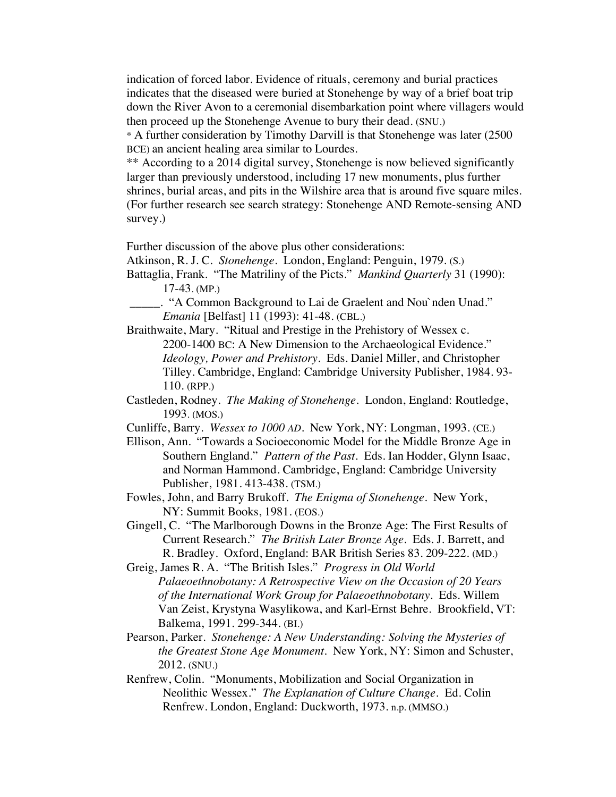indication of forced labor. Evidence of rituals, ceremony and burial practices indicates that the diseased were buried at Stonehenge by way of a brief boat trip down the River Avon to a ceremonial disembarkation point where villagers would then proceed up the Stonehenge Avenue to bury their dead. (SNU.)

\* A further consideration by Timothy Darvill is that Stonehenge was later (2500 BCE) an ancient healing area similar to Lourdes.

\*\* According to a 2014 digital survey, Stonehenge is now believed significantly larger than previously understood, including 17 new monuments, plus further shrines, burial areas, and pits in the Wilshire area that is around five square miles. (For further research see search strategy: Stonehenge AND Remote-sensing AND survey.)

Further discussion of the above plus other considerations:

Atkinson, R. J. C. *Stonehenge*. London, England: Penguin, 1979. (S.)

Battaglia, Frank. "The Matriliny of the Picts." *Mankind Quarterly* 31 (1990): 17-43. (MP.)

\_\_\_\_\_. "A Common Background to Lai de Graelent and Nou`nden Unad." *Emania* [Belfast] 11 (1993): 41-48. (CBL.)

Braithwaite, Mary. "Ritual and Prestige in the Prehistory of Wessex c. 2200-1400 BC: A New Dimension to the Archaeological Evidence." *Ideology, Power and Prehistory*. Eds. Daniel Miller, and Christopher Tilley. Cambridge, England: Cambridge University Publisher, 1984. 93- 110. (RPP.)

Castleden, Rodney. *The Making of Stonehenge.* London, England: Routledge, 1993. (MOS.)

Cunliffe, Barry. *Wessex to 1000 AD*. New York, NY: Longman, 1993. (CE.)

Ellison, Ann. "Towards a Socioeconomic Model for the Middle Bronze Age in Southern England." *Pattern of the Past*. Eds. Ian Hodder, Glynn Isaac, and Norman Hammond. Cambridge, England: Cambridge University Publisher, 1981. 413-438. (TSM.)

Fowles, John, and Barry Brukoff. *The Enigma of Stonehenge*. New York, NY: Summit Books, 1981. (EOS.)

Gingell, C. "The Marlborough Downs in the Bronze Age: The First Results of Current Research." *The British Later Bronze Age.* Eds. J. Barrett, and R. Bradley. Oxford, England: BAR British Series 83. 209-222. (MD.)

Greig, James R. A. "The British Isles." *Progress in Old World Palaeoethnobotany: A Retrospective View on the Occasion of 20 Years of the International Work Group for Palaeoethnobotany.* Eds. Willem Van Zeist, Krystyna Wasylikowa, and Karl-Ernst Behre. Brookfield, VT: Balkema, 1991. 299-344. (BI.)

Pearson, Parker. *Stonehenge: A New Understanding: Solving the Mysteries of the Greatest Stone Age Monument.* New York, NY: Simon and Schuster, 2012. (SNU.)

Renfrew, Colin. "Monuments, Mobilization and Social Organization in Neolithic Wessex." *The Explanation of Culture Change.* Ed. Colin Renfrew. London, England: Duckworth, 1973. n.p. (MMSO.)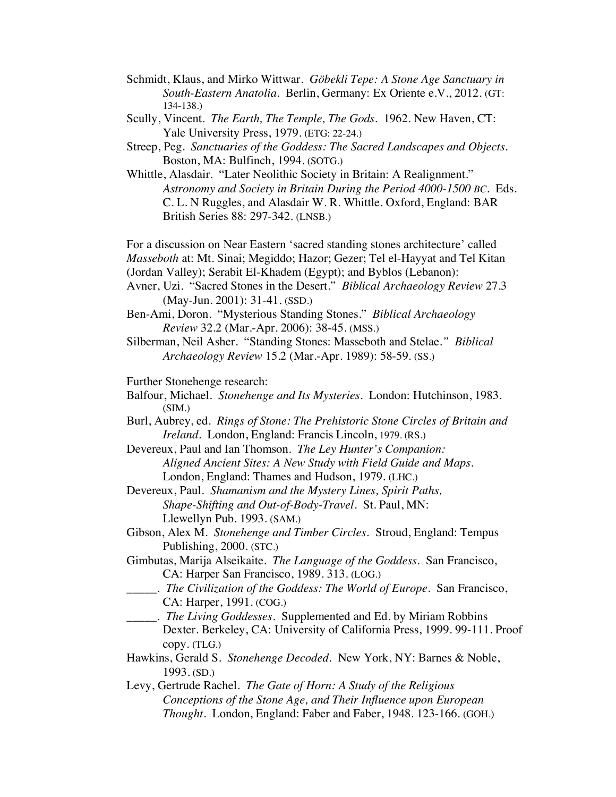- Schmidt, Klaus, and Mirko Wittwar. *Göbekli Tepe: A Stone Age Sanctuary in South-Eastern Anatolia*. Berlin, Germany: Ex Oriente e.V., 2012. (GT: 134-138.)
- Scully, Vincent. *The Earth, The Temple, The Gods*. 1962. New Haven, CT: Yale University Press, 1979. (ETG: 22-24.)
- Streep, Peg. *Sanctuaries of the Goddess: The Sacred Landscapes and Objects.* Boston, MA: Bulfinch, 1994. (SOTG.)
- Whittle, Alasdair. "Later Neolithic Society in Britain: A Realignment." *Astronomy and Society in Britain During the Period 4000-1500 BC.* Eds. C. L. N Ruggles, and Alasdair W. R. Whittle. Oxford, England: BAR British Series 88: 297-342. (LNSB.)

For a discussion on Near Eastern 'sacred standing stones architecture' called *Masseboth* at: Mt. Sinai; Megiddo; Hazor; Gezer; Tel el-Hayyat and Tel Kitan (Jordan Valley); Serabit El-Khadem (Egypt); and Byblos (Lebanon):

- Avner, Uzi. "Sacred Stones in the Desert." *Biblical Archaeology Review* 27.3 (May-Jun. 2001): 31-41. (SSD.)
- Ben-Ami, Doron. "Mysterious Standing Stones." *Biblical Archaeology Review* 32.2 (Mar.-Apr. 2006): 38-45. (MSS.)
- Silberman, Neil Asher. "Standing Stones: Masseboth and Stelae*." Biblical Archaeology Review* 15.2 (Mar.-Apr. 1989): 58-59. (SS.)

Further Stonehenge research:

- Balfour, Michael. *Stonehenge and Its Mysteries*. London: Hutchinson, 1983.  $(SIM.)$
- Burl, Aubrey, ed. *Rings of Stone: The Prehistoric Stone Circles of Britain and Ireland*. London, England: Francis Lincoln, 1979. (RS.)

Devereux, Paul and Ian Thomson. *The Ley Hunter's Companion: Aligned Ancient Sites: A New Study with Field Guide and Maps.*  London, England: Thames and Hudson, 1979. (LHC.)

- Devereux, Paul. *Shamanism and the Mystery Lines, Spirit Paths, Shape-Shifting and Out-of-Body-Travel.* St. Paul, MN: Llewellyn Pub. 1993. (SAM.)
- Gibson, Alex M. *Stonehenge and Timber Circles*. Stroud, England: Tempus Publishing, 2000. (STC.)
- Gimbutas, Marija Alseikaite. *The Language of the Goddess*. San Francisco, CA: Harper San Francisco, 1989. 313. (LOG.)
- \_\_\_\_\_. *The Civilization of the Goddess: The World of Europe*. San Francisco, CA: Harper, 1991. (COG.)
- \_\_\_\_\_*. The Living Goddesses*. Supplemented and Ed. by Miriam Robbins Dexter. Berkeley, CA: University of California Press, 1999. 99-111. Proof copy. (TLG.)
- Hawkins, Gerald S. *Stonehenge Decoded.* New York, NY: Barnes & Noble, 1993. (SD.)
- Levy, Gertrude Rachel. *The Gate of Horn: A Study of the Religious Conceptions of the Stone Age, and Their Influence upon European Thought*. London, England: Faber and Faber, 1948. 123-166. (GOH.)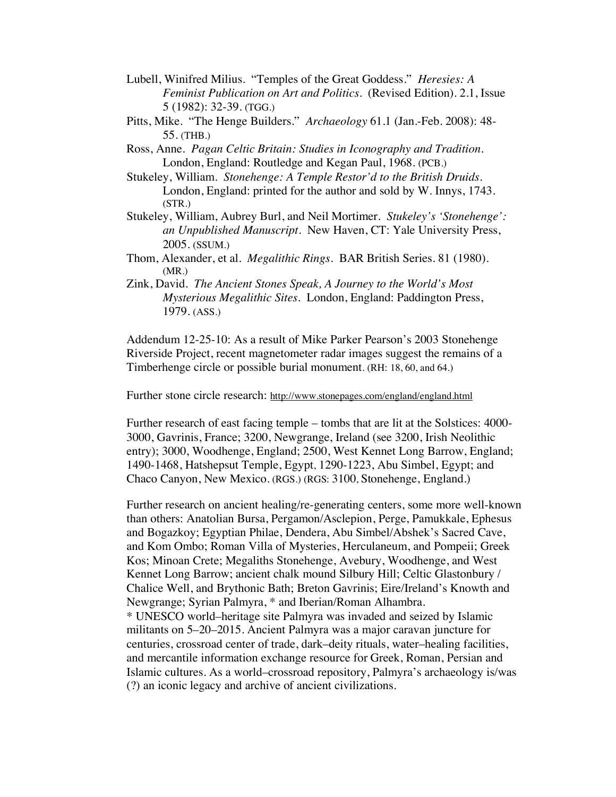- Lubell, Winifred Milius. "Temples of the Great Goddess." *Heresies: A Feminist Publication on Art and Politics.* (Revised Edition). 2.1, Issue 5 (1982): 32-39. (TGG.)
- Pitts, Mike. "The Henge Builders." *Archaeology* 61.1 (Jan.-Feb. 2008): 48- 55. (THB.)
- Ross, Anne. *Pagan Celtic Britain: Studies in Iconography and Tradition*. London, England: Routledge and Kegan Paul, 1968. (PCB.)
- Stukeley, William. *Stonehenge: A Temple Restor'd to the British Druids*. London, England: printed for the author and sold by W. Innys, 1743. (STR.)
- Stukeley, William, Aubrey Burl, and Neil Mortimer. *Stukeley's 'Stonehenge': an Unpublished Manuscript*. New Haven, CT: Yale University Press, 2005. (SSUM.)
- Thom, Alexander, et al. *Megalithic Rings*. BAR British Series. 81 (1980). (MR.)
- Zink, David. *The Ancient Stones Speak, A Journey to the World's Most Mysterious Megalithic Sites*. London, England: Paddington Press, 1979. (ASS.)

Addendum 12-25-10: As a result of Mike Parker Pearson's 2003 Stonehenge Riverside Project, recent magnetometer radar images suggest the remains of a Timberhenge circle or possible burial monument. (RH: 18, 60, and 64.)

Further stone circle research: http://www.stonepages.com/england/england.html

Further research of east facing temple – tombs that are lit at the Solstices: 4000- 3000, Gavrinis, France; 3200, Newgrange, Ireland (see 3200, Irish Neolithic entry); 3000, Woodhenge, England; 2500, West Kennet Long Barrow, England; 1490-1468, Hatshepsut Temple, Egypt, 1290-1223, Abu Simbel, Egypt; and Chaco Canyon, New Mexico. (RGS.) (RGS: 3100, Stonehenge, England.)

Further research on ancient healing/re-generating centers, some more well-known than others: Anatolian Bursa, Pergamon/Asclepion, Perge, Pamukkale, Ephesus and Bogazkoy; Egyptian Philae, Dendera, Abu Simbel/Abshek's Sacred Cave, and Kom Ombo; Roman Villa of Mysteries, Herculaneum, and Pompeii; Greek Kos; Minoan Crete; Megaliths Stonehenge, Avebury, Woodhenge, and West Kennet Long Barrow; ancient chalk mound Silbury Hill; Celtic Glastonbury / Chalice Well, and Brythonic Bath; Breton Gavrinis; Eire/Ireland's Knowth and Newgrange; Syrian Palmyra, \* and Iberian/Roman Alhambra. \* UNESCO world–heritage site Palmyra was invaded and seized by Islamic militants on 5–20–2015. Ancient Palmyra was a major caravan juncture for centuries, crossroad center of trade, dark–deity rituals, water–healing facilities, and mercantile information exchange resource for Greek, Roman, Persian and Islamic cultures. As a world–crossroad repository, Palmyra's archaeology is/was (?) an iconic legacy and archive of ancient civilizations.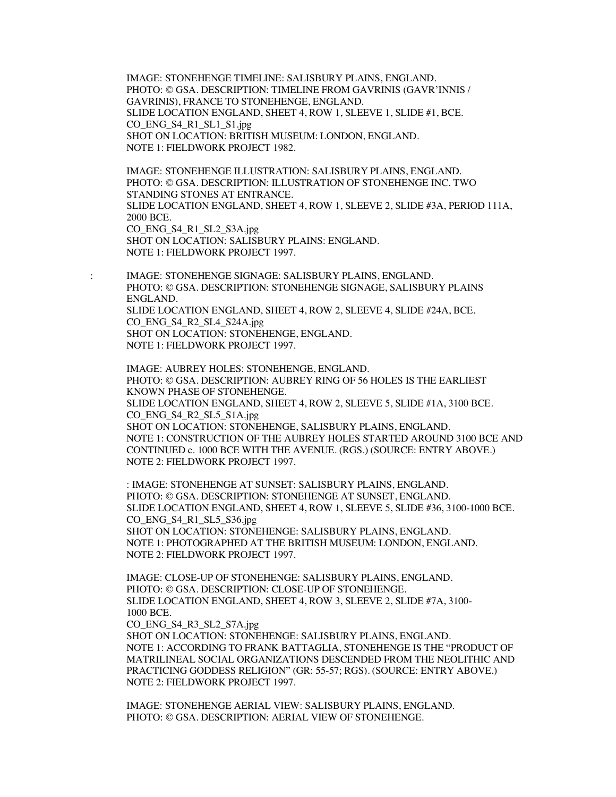IMAGE: STONEHENGE TIMELINE: SALISBURY PLAINS, ENGLAND. PHOTO: © GSA. DESCRIPTION: TIMELINE FROM GAVRINIS (GAVR'INNIS / GAVRINIS), FRANCE TO STONEHENGE, ENGLAND. SLIDE LOCATION ENGLAND, SHEET 4, ROW 1, SLEEVE 1, SLIDE #1, BCE. CO\_ENG\_S4\_R1\_SL1\_S1.jpg SHOT ON LOCATION: BRITISH MUSEUM: LONDON, ENGLAND. NOTE 1: FIELDWORK PROJECT 1982.

IMAGE: STONEHENGE ILLUSTRATION: SALISBURY PLAINS, ENGLAND. PHOTO: © GSA. DESCRIPTION: ILLUSTRATION OF STONEHENGE INC. TWO STANDING STONES AT ENTRANCE. SLIDE LOCATION ENGLAND, SHEET 4, ROW 1, SLEEVE 2, SLIDE #3A, PERIOD 111A, 2000 BCE. CO\_ENG\_S4\_R1\_SL2\_S3A.jpg SHOT ON LOCATION: SALISBURY PLAINS: ENGLAND. NOTE 1: FIELDWORK PROJECT 1997.

: IMAGE: STONEHENGE SIGNAGE: SALISBURY PLAINS, ENGLAND. PHOTO: © GSA. DESCRIPTION: STONEHENGE SIGNAGE, SALISBURY PLAINS ENGLAND. SLIDE LOCATION ENGLAND, SHEET 4, ROW 2, SLEEVE 4, SLIDE #24A, BCE. CO\_ENG\_S4\_R2\_SL4\_S24A.jpg SHOT ON LOCATION: STONEHENGE, ENGLAND. NOTE 1: FIELDWORK PROJECT 1997.

IMAGE: AUBREY HOLES: STONEHENGE, ENGLAND. PHOTO: © GSA. DESCRIPTION: AUBREY RING OF 56 HOLES IS THE EARLIEST KNOWN PHASE OF STONEHENGE. SLIDE LOCATION ENGLAND, SHEET 4, ROW 2, SLEEVE 5, SLIDE #1A, 3100 BCE. CO\_ENG\_S4\_R2\_SL5\_S1A.jpg SHOT ON LOCATION: STONEHENGE, SALISBURY PLAINS, ENGLAND. NOTE 1: CONSTRUCTION OF THE AUBREY HOLES STARTED AROUND 3100 BCE AND CONTINUED c. 1000 BCE WITH THE AVENUE. (RGS.) (SOURCE: ENTRY ABOVE.) NOTE 2: FIELDWORK PROJECT 1997.

: IMAGE: STONEHENGE AT SUNSET: SALISBURY PLAINS, ENGLAND. PHOTO: © GSA. DESCRIPTION: STONEHENGE AT SUNSET, ENGLAND. SLIDE LOCATION ENGLAND, SHEET 4, ROW 1, SLEEVE 5, SLIDE #36, 3100-1000 BCE. CO\_ENG\_S4\_R1\_SL5\_S36.jpg SHOT ON LOCATION: STONEHENGE: SALISBURY PLAINS, ENGLAND. NOTE 1: PHOTOGRAPHED AT THE BRITISH MUSEUM: LONDON, ENGLAND. NOTE 2: FIELDWORK PROJECT 1997.

IMAGE: CLOSE-UP OF STONEHENGE: SALISBURY PLAINS, ENGLAND. PHOTO: © GSA. DESCRIPTION: CLOSE-UP OF STONEHENGE. SLIDE LOCATION ENGLAND, SHEET 4, ROW 3, SLEEVE 2, SLIDE #7A, 3100- 1000 BCE.

CO\_ENG\_S4\_R3\_SL2\_S7A.jpg

SHOT ON LOCATION: STONEHENGE: SALISBURY PLAINS, ENGLAND. NOTE 1: ACCORDING TO FRANK BATTAGLIA, STONEHENGE IS THE "PRODUCT OF MATRILINEAL SOCIAL ORGANIZATIONS DESCENDED FROM THE NEOLITHIC AND PRACTICING GODDESS RELIGION" (GR: 55-57; RGS). (SOURCE: ENTRY ABOVE.) NOTE 2: FIELDWORK PROJECT 1997.

IMAGE: STONEHENGE AERIAL VIEW: SALISBURY PLAINS, ENGLAND. PHOTO: © GSA. DESCRIPTION: AERIAL VIEW OF STONEHENGE.